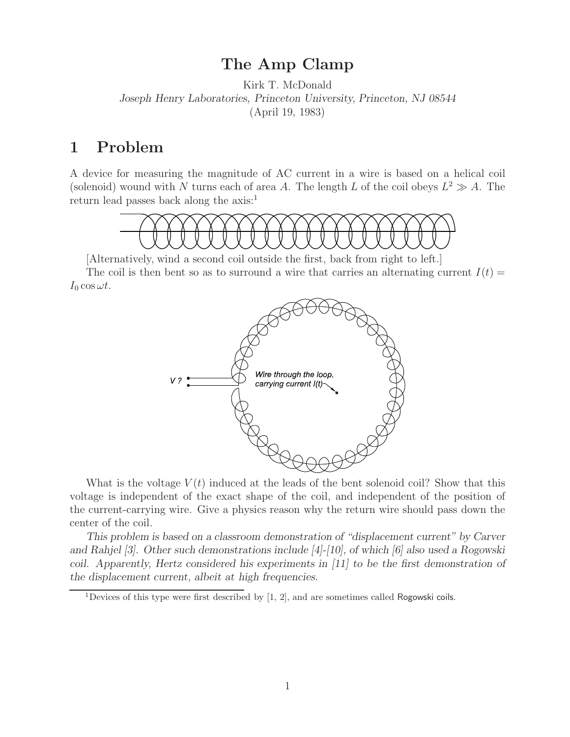## **The Amp Clamp**

Kirk T. McDonald *Joseph Henry Laboratories, Princeton University, Princeton, NJ 08544* (April 19, 1983)

## **1 Problem**

A device for measuring the magnitude of AC current in a wire is based on a helical coil (solenoid) wound with N turns each of area A. The length L of the coil obeys  $L^2 \gg A$ . The return lead passes back along the axis:1



[Alternatively, wind a second coil outside the first, back from right to left.]

The coil is then bent so as to surround a wire that carries an alternating current  $I(t)$  =  $I_0 \cos \omega t$ .



What is the voltage  $V(t)$  induced at the leads of the bent solenoid coil? Show that this voltage is independent of the exact shape of the coil, and independent of the position of the current-carrying wire. Give a physics reason why the return wire should pass down the center of the coil.

*This problem is based on a classroom demonstration of "displacement current" by Carver and Rahjel [3]. Other such demonstrations include [4]-[10], of which [6] also used a Rogowski coil. Apparently, Hertz considered his experiments in [11] to be the first demonstration of the displacement current, albeit at high frequencies.*

<sup>&</sup>lt;sup>1</sup>Devices of this type were first described by  $[1, 2]$ , and are sometimes called Rogowski coils.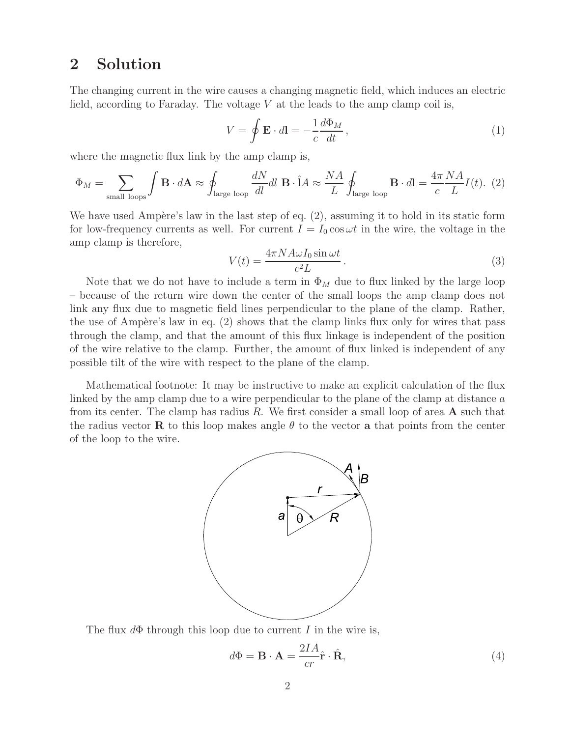## **2 Solution**

The changing current in the wire causes a changing magnetic field, which induces an electric field, according to Faraday. The voltage  $V$  at the leads to the amp clamp coil is,

$$
V = \oint \mathbf{E} \cdot d\mathbf{l} = -\frac{1}{c} \frac{d\Phi_M}{dt},
$$
\n(1)

where the magnetic flux link by the amp clamp is,

$$
\Phi_M = \sum_{\text{small loops}} \int \mathbf{B} \cdot d\mathbf{A} \approx \oint_{\text{large loop}} \frac{dN}{dl} dl \mathbf{B} \cdot \hat{\mathbf{l}} A \approx \frac{NA}{L} \oint_{\text{large loop}} \mathbf{B} \cdot d\mathbf{l} = \frac{4\pi}{c} \frac{NA}{L} I(t). (2)
$$

We have used Ampère's law in the last step of eq.  $(2)$ , assuming it to hold in its static form for low-frequency currents as well. For current  $I = I_0 \cos \omega t$  in the wire, the voltage in the amp clamp is therefore,

$$
V(t) = \frac{4\pi N A \omega I_0 \sin \omega t}{c^2 L}.
$$
\n(3)

Note that we do not have to include a term in  $\Phi_M$  due to flux linked by the large loop – because of the return wire down the center of the small loops the amp clamp does not link any flux due to magnetic field lines perpendicular to the plane of the clamp. Rather, the use of Ampère's law in eq.  $(2)$  shows that the clamp links flux only for wires that pass through the clamp, and that the amount of this flux linkage is independent of the position of the wire relative to the clamp. Further, the amount of flux linked is independent of any possible tilt of the wire with respect to the plane of the clamp.

Mathematical footnote: It may be instructive to make an explicit calculation of the flux linked by the amp clamp due to a wire perpendicular to the plane of the clamp at distance a from its center. The clamp has radius R. We first consider a small loop of area **A** such that the radius vector **R** to this loop makes angle  $\theta$  to the vector **a** that points from the center of the loop to the wire.



The flux  $d\Phi$  through this loop due to current I in the wire is,

$$
d\Phi = \mathbf{B} \cdot \mathbf{A} = \frac{2IA}{cr}\hat{\mathbf{r}} \cdot \hat{\mathbf{R}},\tag{4}
$$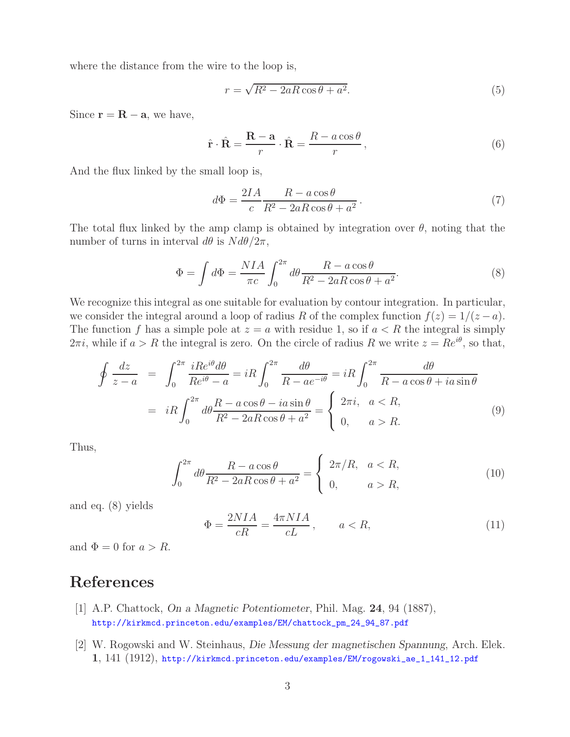where the distance from the wire to the loop is,

$$
r = \sqrt{R^2 - 2aR\cos\theta + a^2}.\tag{5}
$$

Since  $\mathbf{r} = \mathbf{R} - \mathbf{a}$ , we have,

$$
\hat{\mathbf{r}} \cdot \hat{\mathbf{R}} = \frac{\mathbf{R} - \mathbf{a}}{r} \cdot \hat{\mathbf{R}} = \frac{R - a \cos \theta}{r},
$$
\n(6)

And the flux linked by the small loop is,

$$
d\Phi = \frac{2IA}{c} \frac{R - a\cos\theta}{R^2 - 2aR\cos\theta + a^2}.
$$
\n(7)

The total flux linked by the amp clamp is obtained by integration over  $\theta$ , noting that the number of turns in interval  $d\theta$  is  $N d\theta/2\pi$ ,

$$
\Phi = \int d\Phi = \frac{NIA}{\pi c} \int_0^{2\pi} d\theta \frac{R - a\cos\theta}{R^2 - 2aR\cos\theta + a^2}.
$$
\n(8)

We recognize this integral as one suitable for evaluation by contour integration. In particular, we consider the integral around a loop of radius R of the complex function  $f(z)=1/(z - a)$ . The function f has a simple pole at  $z = a$  with residue 1, so if  $a < R$  the integral is simply  $2\pi i$ , while if  $a > R$  the integral is zero. On the circle of radius R we write  $z = Re^{i\theta}$ , so that,

$$
\oint \frac{dz}{z-a} = \int_0^{2\pi} \frac{iRe^{i\theta}d\theta}{Re^{i\theta} - a} = iR \int_0^{2\pi} \frac{d\theta}{R - ae^{-i\theta}} = iR \int_0^{2\pi} \frac{d\theta}{R - a\cos\theta + ia\sin\theta}
$$
\n
$$
= iR \int_0^{2\pi} d\theta \frac{R - a\cos\theta - ia\sin\theta}{R^2 - 2aR\cos\theta + a^2} = \begin{cases} 2\pi i, & a < R, \\ 0, & a > R. \end{cases} \tag{9}
$$

Thus,

$$
\int_0^{2\pi} d\theta \frac{R - a\cos\theta}{R^2 - 2aR\cos\theta + a^2} = \begin{cases} 2\pi/R, & a < R, \\ 0, & a > R, \end{cases}
$$
 (10)

and eq. (8) yields

$$
\Phi = \frac{2NIA}{cR} = \frac{4\pi NIA}{cL}, \qquad a < R,\tag{11}
$$

and  $\Phi = 0$  for  $a > R$ .

## **References**

- [1] A.P. Chattock, *On a Magnetic Potentiometer*, Phil. Mag. **24**, 94 (1887), http://kirkmcd.princeton.edu/examples/EM/chattock\_pm\_24\_94\_87.pdf
- [2] W. Rogowski and W. Steinhaus, *Die Messung der magnetischen Spannung*, Arch. Elek. **1**, 141 (1912), http://kirkmcd.princeton.edu/examples/EM/rogowski\_ae\_1\_141\_12.pdf